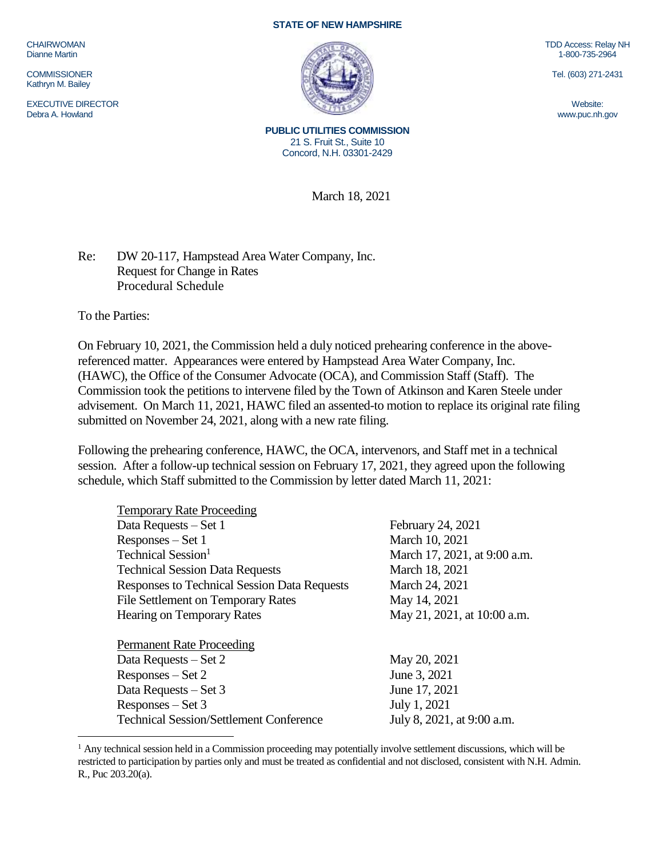CHAIRWOMAN Dianne Martin

**COMMISSIONER** Kathryn M. Bailey

EXECUTIVE DIRECTOR Debra A. Howland

## **STATE OF NEW HAMPSHIRE**



TDD Access: Relay NH 1-800-735-2964

Tel. (603) 271-2431

Website: www.puc.nh.gov

**PUBLIC UTILITIES COMMISSION** 21 S. Fruit St., Suite 10 Concord, N.H. 03301-2429

March 18, 2021

Re: DW 20-117, Hampstead Area Water Company, Inc. Request for Change in Rates Procedural Schedule

To the Parties:

 $\overline{a}$ 

On February 10, 2021, the Commission held a duly noticed prehearing conference in the abovereferenced matter. Appearances were entered by Hampstead Area Water Company, Inc. (HAWC), the Office of the Consumer Advocate (OCA), and Commission Staff (Staff). The Commission took the petitions to intervene filed by the Town of Atkinson and Karen Steele under advisement. On March 11, 2021, HAWC filed an assented-to motion to replace its original rate filing submitted on November 24, 2021, along with a new rate filing.

Following the prehearing conference, HAWC, the OCA, intervenors, and Staff met in a technical session. After a follow-up technical session on February 17, 2021, they agreed upon the following schedule, which Staff submitted to the Commission by letter dated March 11, 2021:

| <b>Temporary Rate Proceeding</b>                    |                              |
|-----------------------------------------------------|------------------------------|
| Data Requests – Set 1                               | February 24, 2021            |
| Responses – Set 1                                   | March 10, 2021               |
| Technical Session <sup>1</sup>                      | March 17, 2021, at 9:00 a.m. |
| <b>Technical Session Data Requests</b>              | March 18, 2021               |
| <b>Responses to Technical Session Data Requests</b> | March 24, 2021               |
| <b>File Settlement on Temporary Rates</b>           | May 14, 2021                 |
| <b>Hearing on Temporary Rates</b>                   | May 21, 2021, at 10:00 a.m.  |
|                                                     |                              |
| <b>Permanent Rate Proceeding</b>                    |                              |
| Data Requests – Set 2                               | May 20, 2021                 |
| $Respones - Set 2$                                  | June 3, 2021                 |
| Data Requests – Set 3                               | June 17, 2021                |
| $Resposes - Set 3$                                  | July 1, 2021                 |
| <b>Technical Session/Settlement Conference</b>      | July 8, 2021, at 9:00 a.m.   |
|                                                     |                              |

<sup>&</sup>lt;sup>1</sup> Any technical session held in a Commission proceeding may potentially involve settlement discussions, which will be restricted to participation by parties only and must be treated as confidential and not disclosed, consistent with N.H. Admin. R., Puc 203.20(a).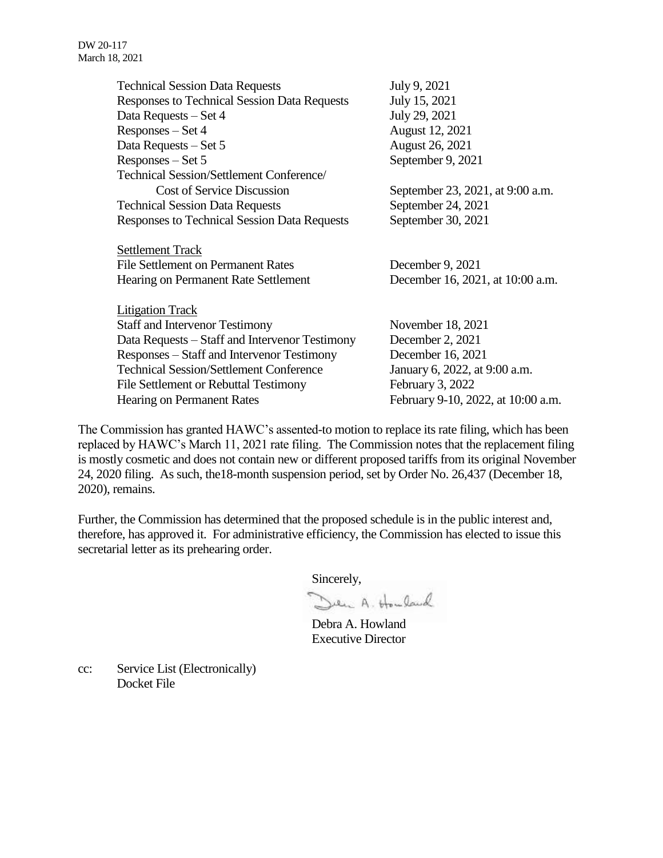| <b>Technical Session Data Requests</b>              | July 9, 2021                       |
|-----------------------------------------------------|------------------------------------|
| <b>Responses to Technical Session Data Requests</b> | July 15, 2021                      |
| Data Requests – Set 4                               | July 29, 2021                      |
| $Responses - Set 4$                                 | August 12, 2021                    |
| Data Requests - Set 5                               | <b>August 26, 2021</b>             |
| Responses – Set 5                                   | September 9, 2021                  |
| Technical Session/Settlement Conference/            |                                    |
| <b>Cost of Service Discussion</b>                   | September 23, 2021, at 9:00 a.m.   |
| <b>Technical Session Data Requests</b>              | September 24, 2021                 |
| <b>Responses to Technical Session Data Requests</b> | September 30, 2021                 |
|                                                     |                                    |
| <b>Settlement Track</b>                             |                                    |
| File Settlement on Permanent Rates                  | December 9, 2021                   |
| Hearing on Permanent Rate Settlement                | December 16, 2021, at 10:00 a.m.   |
|                                                     |                                    |
| <b>Litigation Track</b>                             |                                    |
| <b>Staff and Intervenor Testimony</b>               | November 18, 2021                  |
| Data Requests – Staff and Intervenor Testimony      | December 2, 2021                   |
| Responses – Staff and Intervenor Testimony          | December 16, 2021                  |
| <b>Technical Session/Settlement Conference</b>      | January 6, 2022, at 9:00 a.m.      |
| File Settlement or Rebuttal Testimony               | February 3, 2022                   |
| <b>Hearing on Permanent Rates</b>                   | February 9-10, 2022, at 10:00 a.m. |

The Commission has granted HAWC's assented-to motion to replace its rate filing, which has been replaced by HAWC's March 11, 2021 rate filing. The Commission notes that the replacement filing is mostly cosmetic and does not contain new or different proposed tariffs from its original November 24, 2020 filing. As such, the18-month suspension period, set by Order No. 26,437 (December 18, 2020), remains.

Further, the Commission has determined that the proposed schedule is in the public interest and, therefore, has approved it. For administrative efficiency, the Commission has elected to issue this secretarial letter as its prehearing order.

Sincerely,

Den A. Howland

Debra A. Howland Executive Director

cc: Service List (Electronically) Docket File